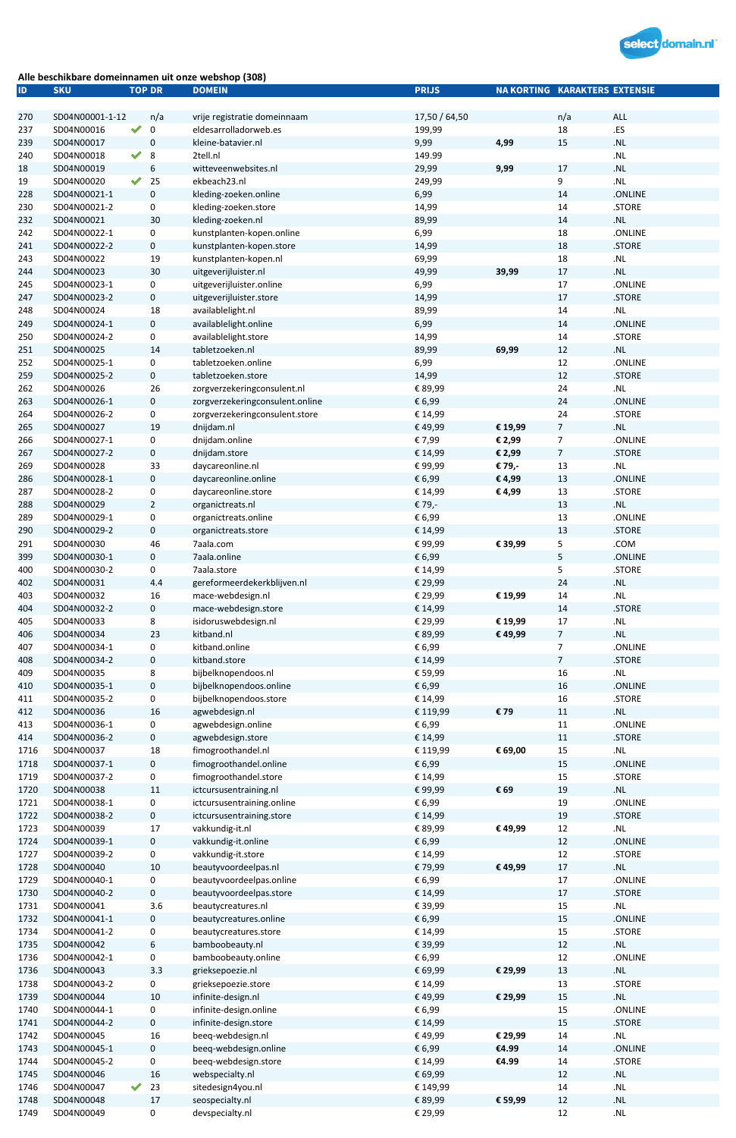

## Alle beschikbare domeinnamen uit onze webshop (308)

| ID           | <b>SKU</b>                 |                      | <b>TOP DR</b>   | <b>DOMEIN</b>                   | <b>PRIJS</b>  | <b>NA KORTING KARAKTERS EXTENSIE</b> |                |                                    |
|--------------|----------------------------|----------------------|-----------------|---------------------------------|---------------|--------------------------------------|----------------|------------------------------------|
|              |                            |                      |                 |                                 |               |                                      |                |                                    |
| 270          | SD04N00001-1-12            |                      | n/a             | vrije registratie domeinnaam    | 17,50 / 64,50 |                                      | n/a            | ALL                                |
| 237          | SD04N00016                 |                      | 0               | eldesarrolladorweb.es           | 199,99        |                                      | 18             | .ES                                |
| 239          | SD04N00017                 |                      | $\pmb{0}$       | kleine-batavier.nl              | 9,99          | 4,99                                 | 15             | $\boldsymbol{.}$ NL                |
| 240          | SD04N00018                 | $\blacktriangledown$ | 8               | 2tell.nl                        | 149.99        |                                      |                | $\boldsymbol{.}\mathsf{NL}$        |
| 18           | SD04N00019                 |                      | 6               | witteveenwebsites.nl            | 29,99         | 9,99                                 | 17             | $\mathsf{.NL}$                     |
| 19           | SD04N00020                 | $\blacktriangledown$ | 25              | ekbeach23.nl                    | 249,99        |                                      | 9              | .NL                                |
| 228          | SD04N00021-1               |                      | $\pmb{0}$       | kleding-zoeken.online           | 6,99          |                                      | 14             | .ONLINE                            |
| 230          | SD04N00021-2               |                      | 0               | kleding-zoeken.store            | 14,99         |                                      | 14             | .STORE                             |
| 232          | SD04N00021                 |                      | 30              | kleding-zoeken.nl               | 89,99         |                                      | 14             | .NL                                |
| 242          | SD04N00022-1               |                      | 0               | kunstplanten-kopen.online       | 6,99          |                                      | 18             | .ONLINE                            |
| 241          | SD04N00022-2               |                      | $\mathbf 0$     | kunstplanten-kopen.store        | 14,99         |                                      | 18             | .STORE                             |
| 243          | SD04N00022                 |                      | 19              | kunstplanten-kopen.nl           | 69,99         |                                      | 18             | $\ensuremath{\mathsf{NL}}\xspace$  |
| 244          | SD04N00023                 |                      | 30              | uitgeverijluister.nl            | 49,99         | 39,99                                | 17             | .NL                                |
| 245          | SD04N00023-1               |                      | 0               | uitgeverijluister.online        | 6,99          |                                      | 17             | .ONLINE                            |
| 247          | SD04N00023-2               |                      | $\mathbf 0$     | uitgeverijluister.store         | 14,99         |                                      | 17             | .STORE                             |
| 248          | SD04N00024                 |                      | 18              | availablelight.nl               | 89,99         |                                      | 14             | $\ensuremath{\mathsf{N}}\xspace$   |
| 249          | SD04N00024-1               |                      | $\mathbf 0$     | availablelight.online           | 6,99          |                                      | 14             | .ONLINE                            |
| 250          | SD04N00024-2               |                      | 0               | availablelight.store            | 14,99         |                                      | 14             | .STORE                             |
| 251          | SD04N00025                 |                      | 14              | tabletzoeken.nl                 | 89,99         | 69,99                                | 12             | $\ensuremath{\mathsf{NL}}\xspace$  |
| 252          | SD04N00025-1               |                      | 0               | tabletzoeken.online             | 6,99          |                                      | 12             | .ONLINE                            |
| 259          |                            |                      |                 | tabletzoeken.store              | 14,99         |                                      | 12             | .STORE                             |
|              | SD04N00025-2               |                      | $\mathbf 0$     |                                 |               |                                      |                |                                    |
| 262          | SD04N00026                 |                      | 26              | zorgverzekeringconsulent.nl     | € 89,99       |                                      | 24             | $\ensuremath{\mathsf{N}}\xspace$   |
| 263          | SD04N00026-1               |                      | $\mathbf 0$     | zorgverzekeringconsulent.online | € 6,99        |                                      | 24             | .ONLINE                            |
| 264          | SD04N00026-2               |                      | 0               | zorgverzekeringconsulent.store  | € 14,99       |                                      | 24             | .STORE                             |
| 265          | SD04N00027                 |                      | 19              | dnijdam.nl                      | €49,99        | € 19,99                              | 7              | .NL                                |
| 266          | SD04N00027-1               |                      | 0               | dnijdam.online                  | € 7,99        | € 2,99                               | 7              | .ONLINE                            |
| 267          | SD04N00027-2               |                      | $\mathbf 0$     | dnijdam.store                   | € 14,99       | € 2,99                               | 7              | .STORE                             |
| 269          | SD04N00028                 |                      | 33              | daycareonline.nl                | €99,99        | € 79,-                               | 13             | $\boldsymbol{.}\mathsf{NL}$        |
| 286          | SD04N00028-1               |                      | 0               | daycareonline.online            | € 6,99        | € 4,99                               | 13             | .ONLINE                            |
| 287          | SD04N00028-2               |                      | 0               | daycareonline.store             | € 14,99       | € 4,99                               | 13             | .STORE                             |
| 288          | SD04N00029                 |                      | $\overline{2}$  | organictreats.nl                | € 79,-        |                                      | 13             | $\ensuremath{\mathsf{.NL}}\xspace$ |
| 289          | SD04N00029-1               |                      | 0               | organictreats.online            | € 6,99        |                                      | 13             | .ONLINE                            |
| 290          | SD04N00029-2               |                      | $\mathbf 0$     | organictreats.store             | € 14,99       |                                      | 13             | .STORE                             |
| 291          | SD04N00030                 |                      | 46              | 7aala.com                       | €99,99        | € 39,99                              | 5              | .COM                               |
| 399          | SD04N00030-1               |                      | 0               | 7aala.online                    | € 6,99        |                                      | 5              | .ONLINE                            |
| 400          | SD04N00030-2               |                      | 0               | 7aala.store                     | € 14,99       |                                      | 5              | .STORE                             |
| 402          | SD04N00031                 |                      | 4.4             | gereformeerdekerkblijven.nl     | € 29,99       |                                      | 24             | .NL                                |
| 403          | SD04N00032                 |                      | 16              | mace-webdesign.nl               | € 29,99       | € 19,99                              | 14             | $\ensuremath{\mathsf{N}}\xspace$   |
| 404          | SD04N00032-2               |                      | $\mathbf 0$     | mace-webdesign.store            | € 14,99       |                                      | 14             | .STORE                             |
| 405          | SD04N00033                 |                      | 8               | isidoruswebdesign.nl            | € 29,99       | € 19,99                              | 17             | $\boldsymbol{.} \mathsf{NL}$       |
|              |                            |                      |                 | kitband.nl                      |               |                                      |                | .NL                                |
| 406          | SD04N00034                 |                      | 23              | kitband.online                  | € 89,99       | € 49,99                              | 7              | .ONLINE                            |
| 407          | SD04N00034-1               |                      | 0               |                                 | € 6,99        |                                      | 7              |                                    |
| 408          | SD04N00034-2               |                      | $\mathbf 0$     | kitband.store                   | € 14,99       |                                      | $\overline{7}$ | .STORE                             |
| 409          | SD04N00035                 |                      | 8               | bijbelknopendoos.nl             | € 59,99       |                                      | 16             | $\ensuremath{\mathsf{N}}\xspace$   |
| 410          | SD04N00035-1               |                      | $\bf{0}$        | bijbelknopendoos.online         | € 6,99        |                                      | 16             | .ONLINE                            |
| 411          | SD04N00035-2               |                      | 0               | bijbelknopendoos.store          | € 14,99       |                                      | 16             | .STORE                             |
| 412          | SD04N00036                 |                      | 16              | agwebdesign.nl                  | € 119,99      | €79                                  | 11             | .NL                                |
| 413          | SD04N00036-1               |                      | 0               | agwebdesign.online              | € 6,99        |                                      | 11             | .ONLINE                            |
| 414          | SD04N00036-2               |                      | $\mathbf 0$     | agwebdesign.store               | € 14,99       |                                      | 11             | .STORE                             |
| 1716         | SD04N00037                 |                      | 18              | fimogroothandel.nl              | € 119,99      | € 69,00                              | 15             | .NL                                |
| 1718         | SD04N00037-1               |                      | $\mathbf 0$     | fimogroothandel.online          | € 6,99        |                                      | 15             | .ONLINE                            |
| 1719         | SD04N00037-2               |                      | 0               | fimogroothandel.store           | € 14,99       |                                      | 15             | .STORE                             |
| 1720         | SD04N00038                 |                      | 11              | ictcursusentraining.nl          | €99,99        | € 69                                 | 19             | .NL                                |
| 1721         | SD04N00038-1               |                      | 0               | ictcursusentraining.online      | € 6,99        |                                      | 19             | .ONLINE                            |
| 1722         | SD04N00038-2               |                      | 0               | ictcursusentraining.store       | € 14,99       |                                      | 19             | .STORE                             |
| 1723         | SD04N00039                 |                      | 17              | vakkundig-it.nl                 | € 89,99       | € 49,99                              | 12             | $\ensuremath{\mathsf{.NL}}\xspace$ |
| 1724         | SD04N00039-1               |                      | $\mathbf 0$     | vakkundig-it.online             | € 6,99        |                                      | 12             | .ONLINE                            |
| 1727         | SD04N00039-2               |                      | 0               | vakkundig-it.store              | € 14,99       |                                      | 12             | .STORE                             |
| 1728         | SD04N00040                 |                      | 10              | beautyvoordeelpas.nl            | €79,99        | €49,99                               | 17             | $.$ NL                             |
| 1729         | SD04N00040-1               |                      | 0               | beautyvoordeelpas.online        | € 6,99        |                                      | 17             | .ONLINE                            |
| 1730         | SD04N00040-2               |                      | $\mathbf 0$     | beautyvoordeelpas.store         | € 14,99       |                                      | 17             | .STORE                             |
| 1731         | SD04N00041                 |                      | 3.6             | beautycreatures.nl              | € 39,99       |                                      | 15             | $\boldsymbol{.} \mathsf{NL}$       |
| 1732         | SD04N00041-1               |                      | 0               | beautycreatures.online          | € 6,99        |                                      | 15             | ONLINE.                            |
| 1734         | SD04N00041-2               |                      | 0               | beautycreatures.store           | € 14,99       |                                      | 15             | .STORE                             |
| 1735         | SD04N00042                 |                      | $6\phantom{.}6$ | bamboobeauty.nl                 | € 39,99       |                                      | 12             | N <sub>L</sub>                     |
|              |                            |                      |                 |                                 | € 6,99        |                                      |                | .ONLINE                            |
| 1736<br>1736 | SD04N00042-1<br>SD04N00043 |                      | 0<br>3.3        | bamboobeauty.online             |               | € 29,99                              | 12             | N <sub>L</sub>                     |
|              |                            |                      |                 | grieksepoezie.nl                | € 69,99       |                                      | 13             |                                    |
| 1738         | SD04N00043-2               |                      | $\pmb{0}$       | grieksepoezie.store             | € 14,99       |                                      | 13             | .STORE                             |
| 1739         | SD04N00044                 |                      | 10              | infinite-design.nl              | € 49,99       | € 29,99                              | 15             | .NL                                |
| 1740         | SD04N00044-1               |                      | 0               | infinite-design.online          | € 6,99        |                                      | $15\,$         | .ONLINE                            |
| 1741         | SD04N00044-2               |                      | $\mathbf 0$     | infinite-design.store           | € 14,99       |                                      | 15             | .STORE                             |
| 1742         | SD04N00045                 |                      | 16              | beeq-webdesign.nl               | €49,99        | € 29,99                              | 14             | .NL                                |
| 1743         | SD04N00045-1               |                      | $\mathbf 0$     | beeq-webdesign.online           | € 6,99        | €4.99                                | 14             | .ONLINE                            |
| 1744         | SD04N00045-2               |                      | 0               | beeq-webdesign.store            | € 14,99       | €4.99                                | $14\,$         | .STORE                             |
| 1745         | SD04N00046                 |                      | 16              | webspecialty.nl                 | € 69,99       |                                      | 12             | .NL                                |
| 1746         | SD04N00047                 |                      | 23              | sitedesign4you.nl               | € 149,99      |                                      | $14\,$         | N <sub>L</sub>                     |
| 1748         | SD04N00048                 |                      | 17              | seospecialty.nl                 | € 89,99       | € 59,99                              | 12             | $\boldsymbol{.}\mathsf{NL}$        |
| 1749         | SD04N00049                 |                      | 0               | devspecialty.nl                 | € 29,99       |                                      | 12             | N <sub>L</sub>                     |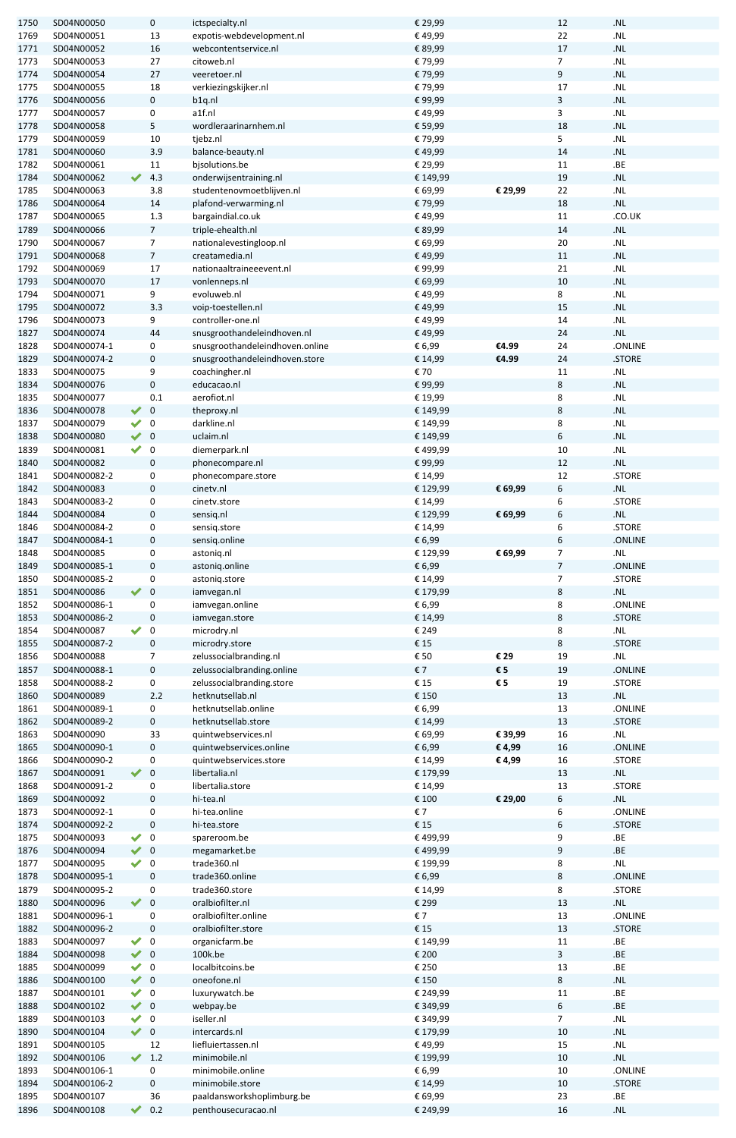| 1750         | SD04N00050               |                      | 0                       | ictspecialty.nl                                   | € 29,99                    |         | 12                      | $.$ NL                             |
|--------------|--------------------------|----------------------|-------------------------|---------------------------------------------------|----------------------------|---------|-------------------------|------------------------------------|
| 1769         | SD04N00051               |                      | 13                      | expotis-webdevelopment.nl                         | €49,99                     |         | 22                      | $\mathsf{.NL}$                     |
|              |                          |                      |                         |                                                   |                            |         |                         |                                    |
| 1771         | SD04N00052               |                      | 16                      | webcontentservice.nl                              | € 89,99                    |         | 17                      | $.$ NL                             |
| 1773         | SD04N00053               |                      | 27                      | citoweb.nl                                        | €79,99                     |         | $\overline{7}$          | $\mathsf{.NL}$                     |
| 1774         | SD04N00054               |                      | 27                      | veeretoer.nl                                      | €79,99                     |         | 9                       | $\mathsf{.NL}$                     |
| 1775         | SD04N00055               |                      | 18                      | verkiezingskijker.nl                              | €79,99                     |         | 17                      | $\mathsf{.NL}$                     |
| 1776         | SD04N00056               |                      | 0                       | b1q.nl                                            | €99,99                     |         | 3                       | .NL                                |
|              |                          |                      |                         |                                                   |                            |         |                         |                                    |
| 1777         | SD04N00057               |                      | 0                       | a1f.nl                                            | €49,99                     |         | 3                       | $\mathsf{.NL}$                     |
| 1778         | SD04N00058               |                      | 5                       | wordleraarinarnhem.nl                             | € 59,99                    |         | 18                      | .NL                                |
| 1779         | SD04N00059               |                      | 10                      | tjebz.nl                                          | €79,99                     |         | 5                       | .NL                                |
| 1781         | SD04N00060               |                      | 3.9                     | balance-beauty.nl                                 | € 49,99                    |         | 14                      | $\cdot$ NL                         |
|              |                          |                      |                         |                                                   |                            |         |                         |                                    |
| 1782         | SD04N00061               |                      | 11                      | bjsolutions.be                                    | € 29,99                    |         | 11                      | ${\tt .BE}$                        |
| 1784         | SD04N00062               | $\blacktriangledown$ | 4.3                     | onderwijsentraining.nl                            | € 149,99                   |         | 19                      | .NL                                |
| 1785         | SD04N00063               |                      | 3.8                     | studentenovmoetblijven.nl                         | € 69,99                    | € 29,99 | 22                      | $\ensuremath{\mathsf{.NL}}\xspace$ |
| 1786         | SD04N00064               |                      | 14                      | plafond-verwarming.nl                             | €79,99                     |         | 18                      | $\mathsf{.NL}$                     |
|              |                          |                      |                         |                                                   |                            |         |                         |                                    |
| 1787         | SD04N00065               |                      | 1.3                     | bargaindial.co.uk                                 | € 49,99                    |         | 11                      | .CO.UK                             |
| 1789         | SD04N00066               |                      | $\overline{7}$          | triple-ehealth.nl                                 | € 89,99                    |         | 14                      | .NL                                |
| 1790         | SD04N00067               |                      | $\overline{7}$          | nationalevestingloop.nl                           | € 69,99                    |         | 20                      | $\mathsf{.NL}$                     |
| 1791         | SD04N00068               |                      | $\overline{7}$          | creatamedia.nl                                    | € 49,99                    |         | 11                      | .NL                                |
| 1792         | SD04N00069               |                      | 17                      | nationaaltraineeevent.nl                          | €99,99                     |         | 21                      | $\ensuremath{\mathsf{.NL}}\xspace$ |
|              |                          |                      |                         |                                                   |                            |         |                         |                                    |
| 1793         | SD04N00070               |                      | 17                      | vonlenneps.nl                                     | € 69,99                    |         | 10                      | .NL                                |
| 1794         | SD04N00071               |                      | 9                       | evoluweb.nl                                       | €49,99                     |         | 8                       | .NL                                |
| 1795         | SD04N00072               |                      | 3.3                     | voip-toestellen.nl                                | € 49,99                    |         | 15                      | $\ensuremath{\mathsf{.NL}}\xspace$ |
| 1796         | SD04N00073               |                      | 9                       | controller-one.nl                                 | € 49,99                    |         | 14                      | $\mathsf{.NL}$                     |
|              |                          |                      |                         |                                                   |                            |         |                         |                                    |
| 1827         | SD04N00074               |                      | 44                      | snusgroothandeleindhoven.nl                       | €49,99                     |         | 24                      | $.$ NL                             |
| 1828         | SD04N00074-1             |                      | 0                       | snusgroothandeleindhoven.online                   | € 6,99                     | €4.99   | 24                      | .ONLINE                            |
| 1829         | SD04N00074-2             |                      | 0                       | snusgroothandeleindhoven.store                    | € 14,99                    | €4.99   | 24                      | .STORE                             |
| 1833         | SD04N00075               |                      | 9                       | coachingher.nl                                    | € 70                       |         | 11                      | $\boldsymbol{.}\mathsf{NL}$        |
|              |                          |                      |                         |                                                   |                            |         |                         |                                    |
| 1834         | SD04N00076               |                      | 0                       | educacao.nl                                       | €99,99                     |         | 8                       | $\ensuremath{\mathsf{.NL}}\xspace$ |
| 1835         | SD04N00077               |                      | 0.1                     | aerofiot.nl                                       | € 19,99                    |         | 8                       | $\mathsf{.NL}$                     |
| 1836         | SD04N00078               | $\blacktriangledown$ | $\mathbf 0$             | theproxy.nl                                       | € 149,99                   |         | 8                       | $.$ NL                             |
| 1837         | SD04N00079               | $\blacktriangledown$ | 0                       | darkline.nl                                       | € 149,99                   |         | 8                       | $\mathsf{.NL}$                     |
|              |                          |                      |                         |                                                   |                            |         |                         |                                    |
| 1838         | SD04N00080               | $\blacktriangledown$ | $\pmb{0}$               | uclaim.nl                                         | € 149,99                   |         | 6                       | $\mathsf{.NL}$                     |
| 1839         | SD04N00081               |                      | $\boldsymbol{0}$        | diemerpark.nl                                     | € 499,99                   |         | 10                      | $\mathsf{.NL}$                     |
| 1840         | SD04N00082               |                      | $\mathbf 0$             | phonecompare.nl                                   | €99,99                     |         | 12                      | .NL                                |
| 1841         | SD04N00082-2             |                      | 0                       | phonecompare.store                                | € 14,99                    |         | 12                      | .STORE                             |
|              |                          |                      |                         |                                                   |                            |         |                         |                                    |
| 1842         | SD04N00083               |                      | $\mathbf 0$             | cinetv.nl                                         | € 129,99                   | € 69,99 | 6                       | .NL                                |
| 1843         | SD04N00083-2             |                      | 0                       | cinetv.store                                      | € 14,99                    |         | 6                       | .STORE                             |
| 1844         | SD04N00084               |                      | $\mathbf 0$             | sensiq.nl                                         | € 129,99                   | € 69,99 | 6                       | $\cdot$ NL                         |
| 1846         | SD04N00084-2             |                      | 0                       |                                                   | € 14,99                    |         | 6                       | .STORE                             |
|              |                          |                      |                         | sensiq.store                                      |                            |         |                         |                                    |
| 1847         | SD04N00084-1             |                      | 0                       | sensiq.online                                     | € 6,99                     |         | 6                       | .ONLINE                            |
| 1848         | SD04N00085               |                      | 0                       | astoniq.nl                                        | € 129,99                   | € 69,99 | $\overline{7}$          | .NL                                |
| 1849         | SD04N00085-1             |                      | $\mathbf 0$             | astoniq.online                                    | € 6,99                     |         | $\overline{7}$          | .ONLINE                            |
|              |                          |                      |                         |                                                   |                            |         |                         | .STORE                             |
| 1850         | SD04N00085-2             |                      | 0                       | astoniq.store                                     | € 14,99                    |         | $\overline{7}$          |                                    |
| 1851         | SD04N00086               | $\blacktriangledown$ | $\mathbf 0$             | iamvegan.nl                                       | € 179,99                   |         | 8                       | $.$ NL                             |
| 1852         | SD04N00086-1             |                      | $\boldsymbol{0}$        | iamvegan.online                                   | € 6,99                     |         | 8                       | .ONLINE                            |
| 1853         | SD04N00086-2             |                      | $\mathbf 0$             | iamvegan.store                                    | € 14,99                    |         | 8                       | .STORE                             |
|              |                          |                      |                         |                                                   |                            |         |                         |                                    |
| 1854         | SD04N00087               | $\blacktriangledown$ | 0                       | microdry.nl                                       | € 249                      |         | 8                       | $\mathsf{.NL}$                     |
| 1855         | SD04N00087-2             |                      | 0                       | microdry.store                                    | €15                        |         | 8                       | .STORE                             |
| 1856         | SD04N00088               |                      | 7                       | zelussocialbranding.nl                            | $\boldsymbol{\epsilon}$ 50 | € 29    | 19                      | $\mathsf{.NL}$                     |
| 1857         | SD04N00088-1             |                      | 0                       | zelussocialbranding.online                        | €7                         | €5      | 19                      | .ONLINE                            |
| 1858         | SD04N00088-2             |                      | 0                       | zelussocialbranding.store                         | €15                        | €5      | 19                      | .STORE                             |
|              |                          |                      |                         |                                                   |                            |         |                         |                                    |
| 1860         | SD04N00089               |                      | 2.2                     | hetknutsellab.nl                                  | € 150                      |         | 13                      | $\ensuremath{\mathsf{.NL}}\xspace$ |
| 1861         | SD04N00089-1             |                      | $\mathbf 0$             | hetknutsellab.online                              |                            |         |                         |                                    |
| 1862         | SD04N00089-2             |                      |                         |                                                   | € 6,99                     |         | 13                      | .ONLINE                            |
| 1863         | SD04N00090               |                      | $\mathbf 0$             | hetknutsellab.store                               | € 14,99                    |         | 13                      | .STORE                             |
|              |                          |                      |                         |                                                   |                            |         |                         |                                    |
| 1865         |                          |                      | 33                      | quintwebservices.nl                               | € 69,99                    | € 39,99 | 16                      | $\mathsf{.NL}$                     |
| 1866         | SD04N00090-1             |                      | 0                       | quintwebservices.online                           | € 6,99                     | €4,99   | 16                      | .ONLINE                            |
|              | SD04N00090-2             |                      | 0                       | quintwebservices.store                            | € 14,99                    | € 4,99  | 16                      | .STORE                             |
| 1867         | SD04N00091               | $\blacktriangledown$ | $\mathbf 0$             | libertalia.nl                                     | € 179,99                   |         | 13                      | $\ensuremath{\mathsf{.NL}}\xspace$ |
|              | SD04N00091-2             |                      | 0                       | libertalia.store                                  |                            |         | 13                      | .STORE                             |
| 1868         |                          |                      |                         |                                                   | € 14,99                    |         |                         |                                    |
| 1869         | SD04N00092               |                      | 0                       | hi-tea.nl                                         | € 100                      | € 29,00 | 6                       | .NL                                |
| 1873         | SD04N00092-1             |                      | 0                       | hi-tea.online                                     | $\boldsymbol{\epsilon}$ 7  |         | 6                       | .ONLINE                            |
| 1874         | SD04N00092-2             |                      | $\mathbf 0$             | hi-tea.store                                      | €15                        |         | 6                       | .STORE                             |
| 1875         | SD04N00093               |                      | $\boldsymbol{0}$        | spareroom.be                                      | € 499,99                   |         | 9                       | BE                                 |
|              |                          |                      |                         |                                                   |                            |         |                         |                                    |
| 1876         | SD04N00094               | $\vee$ 0             |                         | megamarket.be                                     | € 499,99                   |         | 9                       | .BE                                |
| 1877         | SD04N00095               |                      | $\boldsymbol{0}$        | trade360.nl                                       | € 199,99                   |         | 8                       | ${\sf NL}$                         |
| 1878         | SD04N00095-1             |                      | 0                       | trade360.online                                   | € 6,99                     |         | 8                       | .ONLINE                            |
| 1879         | SD04N00095-2             |                      | 0                       | trade360.store                                    | € 14,99                    |         | 8                       | .STORE                             |
| 1880         | SD04N00096               | $\blacktriangledown$ | $\mathbf 0$             | oralbiofilter.nl                                  | € 299                      |         | 13                      | ${\bf .NL}$                        |
|              |                          |                      |                         |                                                   |                            |         |                         |                                    |
| 1881         | SD04N00096-1             |                      | 0                       | oralbiofilter.online                              | $\epsilon$ 7               |         | 13                      | .ONLINE                            |
| 1882         | SD04N00096-2             |                      | $\mathbf 0$             | oralbiofilter.store                               | €15                        |         | 13                      | .STORE                             |
| 1883         | SD04N00097               |                      | $\mathbf 0$             | organicfarm.be                                    | € 149,99                   |         | 11                      | ${\tt .BE}$                        |
| 1884         | SD04N00098               | $\vee$ 0             |                         | 100k.be                                           | € 200                      |         | $\overline{\mathbf{3}}$ | ${\bf BE}$                         |
|              |                          |                      |                         |                                                   |                            |         |                         |                                    |
| 1885         | SD04N00099               |                      | $\mathbf 0$             | localbitcoins.be                                  | € 250                      |         | 13                      | ${\tt .BE}$                        |
| 1886         | SD04N00100               | $\vee$ 0             |                         | oneofone.nl                                       | € 150                      |         | 8                       | ${\bf .NL}$                        |
| 1887         | SD04N00101               | $\blacktriangledown$ | $\overline{\mathbf{0}}$ | luxurywatch.be                                    | € 249,99                   |         | $11\,$                  | ${\bf BE}$                         |
| 1888         | SD04N00102               | $\blacktriangledown$ | $\mathbf 0$             | webpay.be                                         | € 349,99                   |         | 6                       | .BE                                |
|              |                          |                      |                         |                                                   |                            |         |                         |                                    |
| 1889         | SD04N00103               | $\blacktriangledown$ | $\pmb{0}$               | iseller.nl                                        | € 349,99                   |         | $\overline{7}$          | $\boldsymbol{.}\mathsf{NL}$        |
| 1890         | SD04N00104               | $\vee$ 0             |                         | intercards.nl                                     | € 179,99                   |         | 10                      | ${\bf .NL}$                        |
| 1891         | SD04N00105               |                      | 12                      | liefluiertassen.nl                                | €49,99                     |         | 15                      | $\mathsf{.NL}$                     |
| 1892         | SD04N00106               | $\blacktriangledown$ | 1.2                     | minimobile.nl                                     | € 199,99                   |         | 10                      | ${\bf .NL}$                        |
|              |                          |                      |                         |                                                   |                            |         |                         |                                    |
| 1893         | SD04N00106-1             |                      | 0                       | minimobile.online                                 | € 6,99                     |         | $10\,$                  | .ONLINE                            |
| 1894         | SD04N00106-2             |                      | $\mathbf 0$             | minimobile.store                                  | € 14,99                    |         | 10                      | .STORE                             |
| 1895<br>1896 | SD04N00107<br>SD04N00108 |                      | 36<br>0.2               | paaldansworkshoplimburg.be<br>penthousecuracao.nl | € 69,99<br>€ 249,99        |         | 23<br>16                | ${\bf BE}$<br>.NL                  |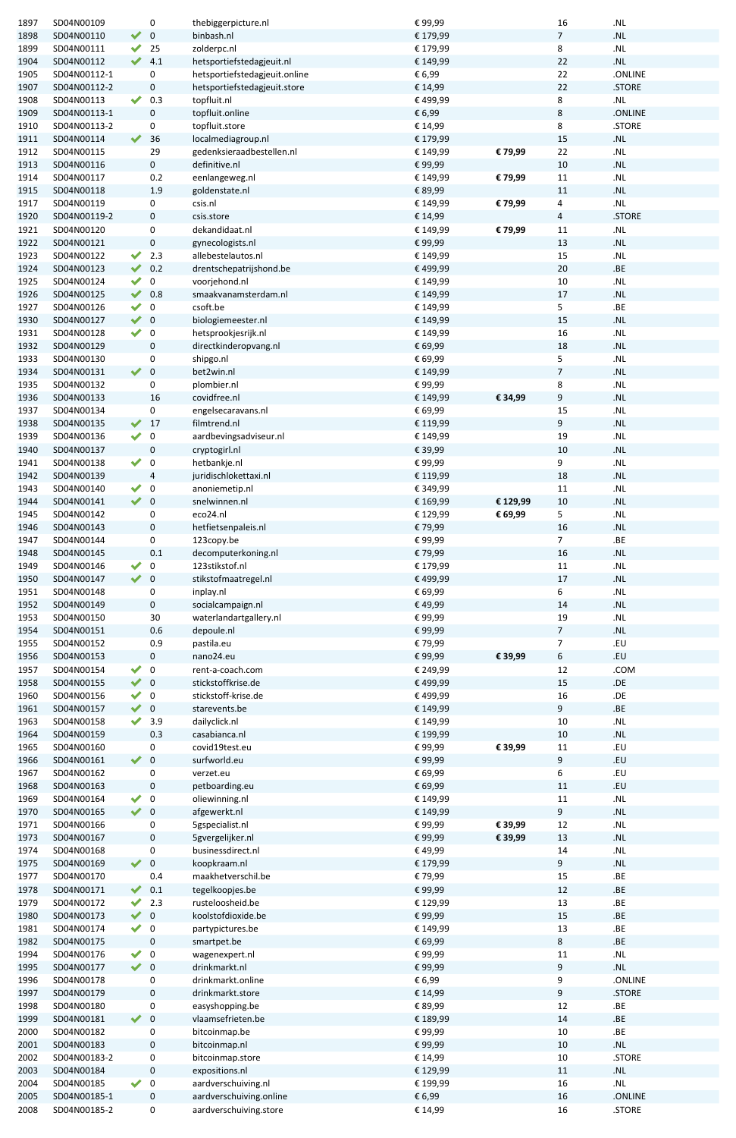| 1897 | SD04N00109   |                      | 0                | thebiggerpicture.nl           | €99,99   |          | 16             | ${\bf .NL}$                       |
|------|--------------|----------------------|------------------|-------------------------------|----------|----------|----------------|-----------------------------------|
| 1898 | SD04N00110   | $\blacktriangledown$ | $\bf 0$          | binbash.nl                    | € 179,99 |          | 7              | $\boldsymbol{.}$ NL               |
| 1899 | SD04N00111   | $\blacktriangledown$ | 25               | zolderpc.nl                   | € 179,99 |          | 8              | ${\bf .NL}$                       |
| 1904 | SD04N00112   |                      | 4.1              | hetsportiefstedagjeuit.nl     | € 149,99 |          | 22             | .NL                               |
| 1905 | SD04N00112-1 |                      | 0                | hetsportiefstedagjeuit.online | € 6,99   |          | 22             | .ONLINE                           |
|      |              |                      |                  |                               |          |          |                |                                   |
| 1907 | SD04N00112-2 |                      | $\pmb{0}$        | hetsportiefstedagjeuit.store  | € 14,99  |          | 22             | .STORE                            |
| 1908 | SD04N00113   | $\blacktriangledown$ | 0.3              | topfluit.nl                   | € 499,99 |          | 8              | .NL                               |
| 1909 | SD04N00113-1 |                      | 0                | topfluit.online               | € 6,99   |          | 8              | .ONLINE                           |
| 1910 | SD04N00113-2 |                      | 0                | topfluit.store                | € 14,99  |          | 8              | .STORE                            |
| 1911 | SD04N00114   | $\blacktriangledown$ | 36               | localmediagroup.nl            | € 179,99 |          | 15             | ${\bf .NL}$                       |
| 1912 | SD04N00115   |                      | 29               | gedenksieraadbestellen.nl     | € 149,99 | € 79,99  | 22             | $\boldsymbol{.}\mathsf{NL}$       |
| 1913 | SD04N00116   |                      | $\mathbf 0$      | definitive.nl                 | €99,99   |          | 10             | .NL                               |
| 1914 | SD04N00117   |                      | 0.2              | eenlangeweg.nl                | € 149,99 | €79,99   | 11             | .NL                               |
| 1915 | SD04N00118   |                      | 1.9              | goldenstate.nl                | € 89,99  |          | 11             | ${\bf .NL}$                       |
| 1917 | SD04N00119   |                      | 0                | csis.nl                       | € 149,99 | € 79,99  | 4              | $\boldsymbol{.}$ NL               |
| 1920 | SD04N00119-2 |                      | $\mathbf 0$      | csis.store                    | € 14,99  |          | 4              | .STORE                            |
|      |              |                      |                  |                               |          |          |                |                                   |
| 1921 | SD04N00120   |                      | 0                | dekandidaat.nl                | € 149,99 | € 79,99  | 11             | $\boldsymbol{.}\mathsf{NL}$       |
| 1922 | SD04N00121   |                      | $\pmb{0}$        | gynecologists.nl              | €99,99   |          | 13             | $\boldsymbol{.}\mathsf{NL}$       |
| 1923 | SD04N00122   | $\blacktriangledown$ | 2.3              | allebestelautos.nl            | € 149,99 |          | 15             | $\boldsymbol{.}\mathsf{NL}$       |
| 1924 | SD04N00123   |                      | 0.2              | drentschepatrijshond.be       | € 499,99 |          | 20             | ${\tt .BE}$                       |
| 1925 | SD04N00124   | $\blacktriangledown$ | $\pmb{0}$        | voorjehond.nl                 | € 149,99 |          | 10             | $\boldsymbol{.}\mathsf{NL}$       |
| 1926 | SD04N00125   | $\blacktriangledown$ | 0.8              | smaakvanamsterdam.nl          | € 149,99 |          | 17             | .NL                               |
| 1927 | SD04N00126   | $\blacktriangledown$ | $\pmb{0}$        | csoft.be                      | € 149,99 |          | 5              | .BE                               |
| 1930 | SD04N00127   |                      | $\overline{0}$   | biologiemeester.nl            | € 149,99 |          | 15             | $\boldsymbol{.}$ NL               |
| 1931 | SD04N00128   | $\blacktriangledown$ | $\mathbf 0$      | hetsprookjesrijk.nl           | € 149,99 |          | 16             | $\boldsymbol{.}\mathsf{NL}$       |
| 1932 | SD04N00129   |                      | $\mathbf 0$      | directkinderopvang.nl         | € 69,99  |          | 18             | .NL                               |
| 1933 |              |                      |                  |                               |          |          |                |                                   |
|      | SD04N00130   |                      | 0                | shipgo.nl                     | € 69,99  |          | 5              | $\boldsymbol{.}\mathsf{NL}$       |
| 1934 | SD04N00131   | $\blacktriangledown$ | $\bf 0$          | bet2win.nl                    | € 149,99 |          | 7              | .NL                               |
| 1935 | SD04N00132   |                      | 0                | plombier.nl                   | €99,99   |          | 8              | .NL                               |
| 1936 | SD04N00133   |                      | 16               | covidfree.nl                  | € 149,99 | € 34,99  | 9              | .NL                               |
| 1937 | SD04N00134   |                      | 0                | engelsecaravans.nl            | € 69,99  |          | 15             | $\boldsymbol{.}\mathsf{NL}$       |
| 1938 | SD04N00135   |                      | 17               | filmtrend.nl                  | € 119,99 |          | 9              | .NL                               |
| 1939 | SD04N00136   | $\blacktriangledown$ | $\pmb{0}$        | aardbevingsadviseur.nl        | € 149,99 |          | 19             | ${\bf .NL}$                       |
| 1940 | SD04N00137   |                      | $\pmb{0}$        | cryptogirl.nl                 | € 39,99  |          | 10             | ${\bf .NL}$                       |
| 1941 | SD04N00138   | $\blacktriangledown$ | $\mathbf 0$      | hetbankje.nl                  | €99,99   |          | 9              | $\boldsymbol{.}$ NL               |
|      |              |                      |                  |                               |          |          |                |                                   |
| 1942 | SD04N00139   |                      | $\overline{4}$   | juridischlokettaxi.nl         | € 119,99 |          | 18             | .NL                               |
| 1943 | SD04N00140   | $\blacktriangledown$ | $\boldsymbol{0}$ | anoniemetip.nl                | € 349,99 |          | $11\,$         | $\boldsymbol{.}$ NL               |
| 1944 | SD04N00141   | $\blacktriangledown$ | $\overline{0}$   | snelwinnen.nl                 | € 169,99 | € 129,99 | 10             | $\boldsymbol{.}$ NL               |
| 1945 | SD04N00142   |                      | 0                | eco24.nl                      | € 129,99 | € 69,99  | 5              | $\mathsf{.NL}$                    |
| 1946 | SD04N00143   |                      | $\mathbf 0$      | hetfietsenpaleis.nl           | €79,99   |          | 16             | $\boldsymbol{.}\mathsf{NL}$       |
| 1947 | SD04N00144   |                      | 0                | 123copy.be                    | €99,99   |          | 7              | .BE                               |
| 1948 | SD04N00145   |                      | 0.1              | decomputerkoning.nl           | €79,99   |          | 16             | .NL                               |
| 1949 |              | $\blacktriangledown$ |                  | 123stikstof.nl                |          |          |                |                                   |
|      | SD04N00146   |                      | $\boldsymbol{0}$ |                               | € 179,99 |          | $11\,$         | $\boldsymbol{.}\mathsf{NL}$       |
| 1950 | SD04N00147   | $\blacktriangledown$ | $\mathbf 0$      | stikstofmaatregel.nl          | € 499,99 |          | 17             | .NL                               |
| 1951 | SD04N00148   |                      | $\boldsymbol{0}$ | inplay.nl                     | € 69,99  |          | 6              | $\boldsymbol{.}\mathsf{NL}$       |
| 1952 | SD04N00149   |                      | $\mathbf 0$      | socialcampaign.nl             | € 49,99  |          | 14             | $\boldsymbol{.} \mathsf{NL}$      |
| 1953 | SD04N00150   |                      | 30               | waterlandartgallery.nl        | €99,99   |          | 19             | .NL                               |
| 1954 | SD04N00151   |                      | 0.6              | depoule.nl                    | €99,99   |          | $\overline{7}$ | .NL                               |
| 1955 | SD04N00152   |                      | 0.9              | pastila.eu                    | €79,99   |          | 7              | EU                                |
| 1956 | SD04N00153   |                      | 0                | nano24.eu                     | €99,99   | € 39,99  | 6              | EU                                |
| 1957 | SD04N00154   | $\blacktriangledown$ | $\mathbf 0$      | rent-a-coach.com              | € 249,99 |          | 12             | .COM                              |
|      |              | $\blacktriangledown$ |                  | stickstoffkrise.de            |          |          |                |                                   |
| 1958 | SD04N00155   |                      | $\overline{0}$   |                               | € 499,99 |          | 15             |                                   |
| 1960 | SD04N00156   | $\blacktriangledown$ | $\mathbf 0$      | stickstoff-krise.de           | € 499,99 |          | 16             | $. \mathsf{DE}$                   |
| 1961 | SD04N00157   | $\vee$ 0             |                  | starevents.be                 | € 149,99 |          | 9              | ${\tt .BE}$                       |
| 1963 | SD04N00158   | $\blacktriangledown$ | 3.9              | dailyclick.nl                 | € 149,99 |          | 10             | $\boldsymbol{.}$ NL               |
| 1964 | SD04N00159   |                      | 0.3              | casabianca.nl                 | € 199,99 |          | 10             | ${\bf .NL}$                       |
| 1965 | SD04N00160   |                      | 0                | covid19test.eu                | €99,99   | € 39,99  | $11\,$         | . $EU$                            |
| 1966 | SD04N00161   | $\blacktriangledown$ | $\bf 0$          | surfworld.eu                  | €99,99   |          | 9              | EU                                |
| 1967 | SD04N00162   |                      | 0                | verzet.eu                     | € 69,99  |          | 6              | . $EU$                            |
| 1968 | SD04N00163   |                      | $\mathbf 0$      | petboarding.eu                | € 69,99  |          | 11             | .EU                               |
| 1969 | SD04N00164   | $\blacktriangledown$ | $\mathbf 0$      | oliewinning.nl                | € 149,99 |          | 11             | $\boldsymbol{.}\mathsf{NL}$       |
|      |              |                      |                  |                               |          |          |                |                                   |
| 1970 | SD04N00165   | $\vee$ 0             |                  | afgewerkt.nl                  | € 149,99 |          | 9              | ${\bf .NL}$                       |
| 1971 | SD04N00166   |                      | 0                | 5gspecialist.nl               | €99,99   | € 39,99  | 12             | .NL                               |
| 1973 | SD04N00167   |                      | 0                | 5gvergelijker.nl              | €99,99   | € 39,99  | 13             | $\mathsf{.NL}$                    |
| 1974 | SD04N00168   |                      | 0                | businessdirect.nl             | € 49,99  |          | 14             | ${\bf .NL}$                       |
| 1975 | SD04N00169   | $\blacktriangledown$ | $\bf 0$          | koopkraam.nl                  | € 179,99 |          | 9              | ${\bf .NL}$                       |
| 1977 | SD04N00170   |                      | 0.4              | maakhetverschil.be            | €79,99   |          | 15             | .BE                               |
| 1978 | SD04N00171   | $\blacktriangledown$ | 0.1              | tegelkoopjes.be               | €99,99   |          | 12             | ${\tt .BE}$                       |
| 1979 | SD04N00172   | $\blacktriangledown$ | 2.3              | rusteloosheid.be              | € 129,99 |          | 13             | .BE                               |
| 1980 | SD04N00173   | $\blacktriangledown$ | $\mathbf 0$      | koolstofdioxide.be            | €99,99   |          | 15             | .BE                               |
|      |              |                      |                  |                               |          |          |                |                                   |
| 1981 | SD04N00174   | $\blacktriangledown$ | $\mathbf 0$      | partypictures.be              | € 149,99 |          | 13             | ${\bf BE}$                        |
| 1982 | SD04N00175   |                      | $\pmb{0}$        | smartpet.be                   | € 69,99  |          | 8              | .BE                               |
| 1994 | SD04N00176   | $\blacktriangledown$ | $\overline{0}$   | wagenexpert.nl                | €99,99   |          | 11             | $\mathsf{NL}\xspace$              |
| 1995 | SD04N00177   | $\blacktriangledown$ | $\mathbf 0$      | drinkmarkt.nl                 | €99,99   |          | 9              | $\ensuremath{\mathsf{NL}}\xspace$ |
| 1996 | SD04N00178   |                      | 0                | drinkmarkt.online             | € 6,99   |          | 9              | .ONLINE                           |
| 1997 | SD04N00179   |                      | 0                | drinkmarkt.store              | € 14,99  |          | 9              | .STORE                            |
| 1998 | SD04N00180   |                      | 0                | easyshopping.be               | € 89,99  |          | 12             | ${\bf BE}$                        |
| 1999 | SD04N00181   |                      | $\mathbf 0$      | vlaamsefrieten.be             | € 189,99 |          | 14             | .BE                               |
|      |              |                      |                  |                               |          |          |                |                                   |
| 2000 | SD04N00182   |                      | $\boldsymbol{0}$ | bitcoinmap.be                 | €99,99   |          | 10             | .BE                               |
| 2001 | SD04N00183   |                      | $\mathbf 0$      | bitcoinmap.nl                 | €99,99   |          | 10             | $\ensuremath{\mathsf{NL}}\xspace$ |
| 2002 | SD04N00183-2 |                      | $\boldsymbol{0}$ | bitcoinmap.store              | € 14,99  |          | 10             | .STORE                            |
| 2003 | SD04N00184   |                      | 0                | expositions.nl                | € 129,99 |          | 11             | $\boldsymbol{.}\mathsf{NL}$       |
| 2004 | SD04N00185   |                      | 0                | aardverschuiving.nl           | € 199,99 |          | 16             | $\mathsf{.NL}$                    |
| 2005 | SD04N00185-1 |                      | $\boldsymbol{0}$ | aardverschuiving.online       | € 6,99   |          | 16             | .ONLINE                           |
| 2008 | SD04N00185-2 |                      | 0                | aardverschuiving.store        | € 14,99  |          | 16             | .STORE                            |
|      |              |                      |                  |                               |          |          |                |                                   |